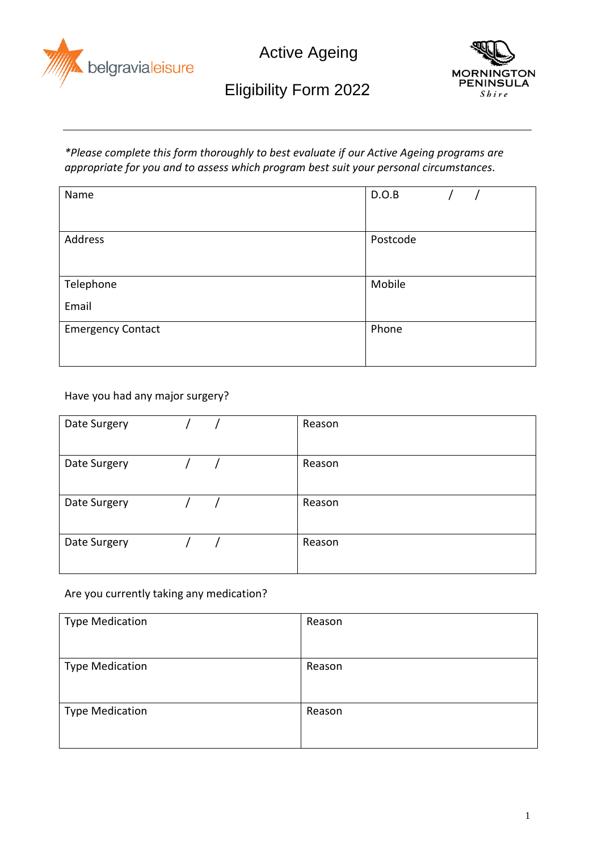



# Eligibility Form 2022

*\*Please complete this form thoroughly to best evaluate if our Active Ageing programs are appropriate for you and to assess which program best suit your personal circumstances.*

| Name                     | D.O.B    |
|--------------------------|----------|
| Address                  | Postcode |
| Telephone<br>Email       | Mobile   |
| <b>Emergency Contact</b> | Phone    |

Have you had any major surgery?

| Date Surgery | Reason |
|--------------|--------|
| Date Surgery | Reason |
| Date Surgery | Reason |
| Date Surgery | Reason |

Are you currently taking any medication?

| <b>Type Medication</b> | Reason |
|------------------------|--------|
| <b>Type Medication</b> | Reason |
| <b>Type Medication</b> | Reason |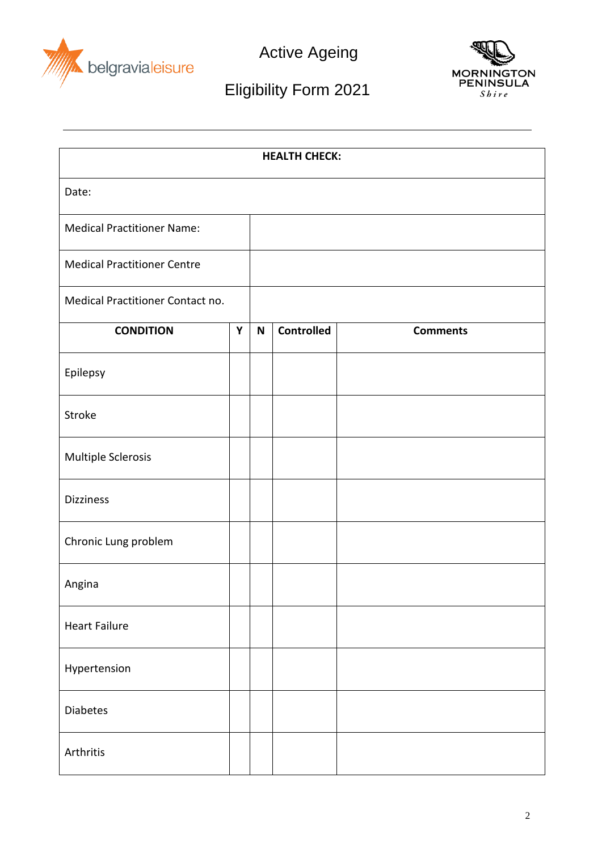



## Eligibility Form 2021

| <b>HEALTH CHECK:</b>               |   |              |                   |                 |
|------------------------------------|---|--------------|-------------------|-----------------|
| Date:                              |   |              |                   |                 |
| <b>Medical Practitioner Name:</b>  |   |              |                   |                 |
| <b>Medical Practitioner Centre</b> |   |              |                   |                 |
| Medical Practitioner Contact no.   |   |              |                   |                 |
| <b>CONDITION</b>                   | Y | $\mathsf{N}$ | <b>Controlled</b> | <b>Comments</b> |
| Epilepsy                           |   |              |                   |                 |
| Stroke                             |   |              |                   |                 |
| Multiple Sclerosis                 |   |              |                   |                 |
| <b>Dizziness</b>                   |   |              |                   |                 |
| Chronic Lung problem               |   |              |                   |                 |
| Angina                             |   |              |                   |                 |
| <b>Heart Failure</b>               |   |              |                   |                 |
| Hypertension                       |   |              |                   |                 |
| Diabetes                           |   |              |                   |                 |
| Arthritis                          |   |              |                   |                 |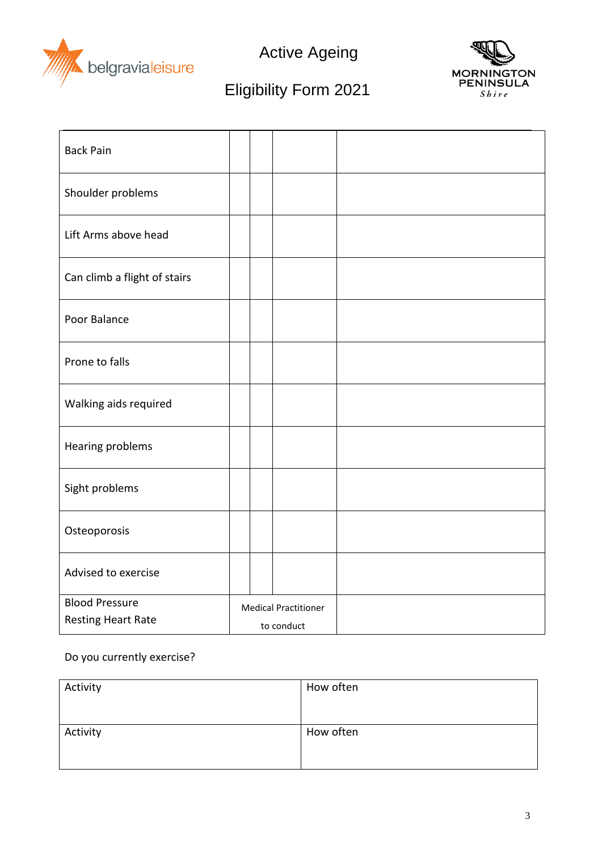



## Eligibility Form 2021

| <b>Back Pain</b>             |                             |  |
|------------------------------|-----------------------------|--|
| Shoulder problems            |                             |  |
| Lift Arms above head         |                             |  |
| Can climb a flight of stairs |                             |  |
| Poor Balance                 |                             |  |
| Prone to falls               |                             |  |
| Walking aids required        |                             |  |
| Hearing problems             |                             |  |
| Sight problems               |                             |  |
| Osteoporosis                 |                             |  |
| Advised to exercise          |                             |  |
| <b>Blood Pressure</b>        | <b>Medical Practitioner</b> |  |
| <b>Resting Heart Rate</b>    | to conduct                  |  |

## Do you currently exercise?

| Activity | How often |
|----------|-----------|
|          |           |
| Activity | How often |
|          |           |
|          |           |